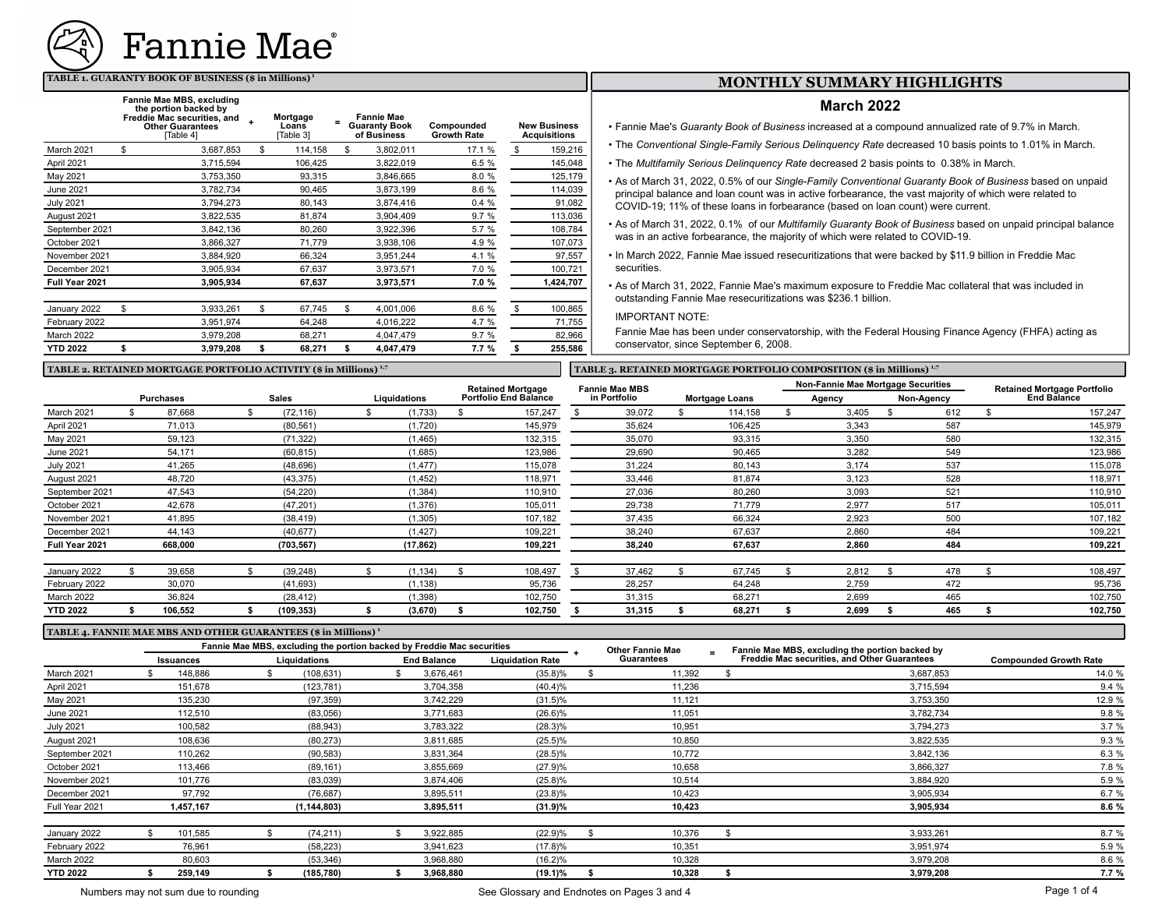

#### **TABLE 1. GUARANTY BOOK OF BUSINESS (\$ in Millions)<sup>1</sup>**

|                  | Fannie Mae MBS, excluding<br>the portion backed by<br>Freddie Mac securities, and<br><b>Other Guarantees</b><br>Table 41 | Mortgage<br>Loans<br>Table 31 | <b>Fannie Mae</b><br><b>Guaranty Book</b><br>of Business | Compounded<br><b>Growth Rate</b> | <b>New Business</b><br>Acquisitions |
|------------------|--------------------------------------------------------------------------------------------------------------------------|-------------------------------|----------------------------------------------------------|----------------------------------|-------------------------------------|
| March 2021       | \$<br>3.687.853                                                                                                          | \$<br>114,158                 | \$<br>3,802,011                                          | 17.1 %                           | \$<br>159,216                       |
| April 2021       | 3,715,594                                                                                                                | 106,425                       | 3,822,019                                                | 6.5 %                            | 145,048                             |
| May 2021         | 3,753,350                                                                                                                | 93.315                        | 3,846,665                                                | 8.0%                             | 125,179                             |
| June 2021        | 3,782,734                                                                                                                | 90.465                        | 3,873,199                                                | 8.6%                             | 114,039                             |
| <b>July 2021</b> | 3,794,273                                                                                                                | 80,143                        | 3,874,416                                                | 0.4%                             | 91,082                              |
| August 2021      | 3,822,535                                                                                                                | 81,874                        | 3,904,409                                                | 9.7%                             | 113,036                             |
| September 2021   | 3,842,136                                                                                                                | 80,260                        | 3,922,396                                                | 5.7 %                            | 108,784                             |
| October 2021     | 3,866,327                                                                                                                | 71,779                        | 3,938,106                                                | 4.9%                             | 107,073                             |
| November 2021    | 3,884,920                                                                                                                | 66,324                        | 3,951,244                                                | 4.1 %                            | 97,557                              |
| December 2021    | 3,905,934                                                                                                                | 67.637                        | 3,973,571                                                | 7.0 %                            | 100,721                             |
| Full Year 2021   | 3,905,934                                                                                                                | 67,637                        | 3,973,571                                                | 7.0%                             | 1,424,707                           |
| January 2022     | \$<br>3,933,261                                                                                                          | \$<br>67,745                  | \$<br>4,001,006                                          | 8.6 %                            | \$<br>100,865                       |
| February 2022    | 3,951,974                                                                                                                | 64,248                        | 4,016,222                                                | 4.7 %                            | 71,755                              |
| March 2022       | 3,979,208                                                                                                                | 68,271                        | 4.047.479                                                | 9.7%                             | 82,966                              |
| <b>YTD 2022</b>  | \$<br>3,979,208                                                                                                          | \$<br>68,271                  | \$<br>4,047,479                                          | 7.7%                             | \$<br>255,586                       |

### **MONTHLY SUMMARY HIGHLIGHTS**

#### **March 2022**

• Fannie Mae's *Guaranty Book of Business* increased at a compound annualized rate of 9.7% in March.

- The *Conventional Single-Family Serious Delinquency Rate* decreased 10 basis points to 1.01% in March.
- The *Multifamily Serious Delinquency Rate* decreased 2 basis points to 0.38% in March.
- As of March 31, 2022, 0.5% of our *Single-Family Conventional Guaranty Book of Business* based on unpaid principal balance and loan count was in active forbearance, the vast majority of which were related to COVID-19; 11% of these loans in forbearance (based on loan count) were current.
- As of March 31, 2022, 0.1% of our *Multifamily Guaranty Book of Business* based on unpaid principal balance was in an active forbearance, the majority of which were related to COVID-19.
- In March 2022, Fannie Mae issued resecuritizations that were backed by \$11.9 billion in Freddie Mac securities.
- As of March 31, 2022, Fannie Mae's maximum exposure to Freddie Mac collateral that was included in outstanding Fannie Mae resecuritizations was \$236.1 billion.

IMPORTANT NOTE:

Fannie Mae has been under conservatorship, with the Federal Housing Finance Agency (FHFA) acting as conservator, since September 6, 2008.

#### TABLE 2. RETAINED MORTGAGE PORTFOLIO ACTIVITY (\$ in Millions) <sup>1,7</sup> **TABLE 3. RETAINED MORTGAGE PORTFOLIO COMPOSITION (\$ in Millions) <sup>1,7</sup>**

|                  |  |                  | <b>Retained Mortgage</b> | <b>Fannie Mae MBS</b> |                              |  |              | Non-Fannie Mae Mortgage Securities |                       |  |        |  | <b>Retained Mortgage Portfolio</b> |  |                    |
|------------------|--|------------------|--------------------------|-----------------------|------------------------------|--|--------------|------------------------------------|-----------------------|--|--------|--|------------------------------------|--|--------------------|
|                  |  | <b>Purchases</b> | <b>Sales</b>             | Liquidations          | <b>Portfolio End Balance</b> |  | in Portfolio |                                    | <b>Mortgage Loans</b> |  | Agency |  | Non-Agency                         |  | <b>End Balance</b> |
| March 2021       |  | 87,668           | (72, 116)                | (1,733)               | 157,247                      |  | 39,072       |                                    | 114,158               |  | 3,405  |  | 612                                |  | 157,247            |
| April 2021       |  | 71,013           | (80, 561)                | (1,720)               | 145,979                      |  | 35,624       |                                    | 106,425               |  | 3,343  |  | 587                                |  | 145,979            |
| May 2021         |  | 59,123           | (71, 322)                | (1, 465)              | 132,315                      |  | 35,070       |                                    | 93,315                |  | 3,350  |  | 580                                |  | 132,315            |
| June 2021        |  | 54,171           | (60, 815)                | (1,685)               | 123,986                      |  | 29,690       |                                    | 90,465                |  | 3,282  |  | 549                                |  | 123,986            |
| <b>July 2021</b> |  | 41,265           | (48, 696)                | (1, 477)              | 115,078                      |  | 31,224       |                                    | 80,143                |  | 3,174  |  | 537                                |  | 115,078            |
| August 2021      |  | 48,720           | (43, 375)                | (1, 452)              | 118,971                      |  | 33,446       |                                    | 81,874                |  | 3,123  |  | 528                                |  | 118,971            |
| September 2021   |  | 47,543           | (54, 220)                | (1, 384)              | 110,910                      |  | 27,036       |                                    | 80,260                |  | 3,093  |  | 521                                |  | 110,910            |
| October 2021     |  | 42,678           | (47, 201)                | (1,376)               | 105,011                      |  | 29,738       |                                    | 71,779                |  | 2,977  |  | 517                                |  | 105,011            |
| November 2021    |  | 41,895           | (38, 419)                | (1, 305)              | 107,182                      |  | 37,435       |                                    | 66,324                |  | 2,923  |  | 500                                |  | 107,182            |
| December 2021    |  | 44,143           | (40, 677)                | (1, 427)              | 109,221                      |  | 38,240       |                                    | 67,637                |  | 2,860  |  | 484                                |  | 109,221            |
| Full Year 2021   |  | 668,000          | (703, 567)               | (17, 862)             | 109,221                      |  | 38,240       |                                    | 67,637                |  | 2,860  |  | 484                                |  | 109,221            |
|                  |  |                  |                          |                       |                              |  |              |                                    |                       |  |        |  |                                    |  |                    |
| January 2022     |  | 39,658           | (39, 248)                | (1, 134)              | 108,497                      |  | 37,462       |                                    | 67,745                |  | 2,812  |  | 478                                |  | 108,497            |
| February 2022    |  | 30,070           | (41, 693)                | (1, 138)              | 95,736                       |  | 28,257       |                                    | 64,248                |  | 2,759  |  | 472                                |  | 95,736             |
| March 2022       |  | 36,824           | (28, 412)                | (1, 398)              | 102,750                      |  | 31,315       |                                    | 68,271                |  | 2,699  |  | 465                                |  | 102,750            |
| <b>YTD 2022</b>  |  | 106.552          | (109, 353)               | (3,670)               | 102,750                      |  | 31,315       |                                    | 68,271                |  | 2,699  |  | 465                                |  | 102,750            |

#### **TABLE 4. FANNIE MAE MBS AND OTHER GUARANTEES (\$ in Millions) <sup>1</sup>**

 $\overline{\phantom{a}}$ 

|                  | Fannie Mae MBS, excluding the portion backed by Freddie Mac securities |           |  |               |  |                    |                         | <b>Other Fannie Mae</b> | $\overline{\phantom{0}}$ | Fannie Mae MBS, excluding the portion backed by     |                               |  |
|------------------|------------------------------------------------------------------------|-----------|--|---------------|--|--------------------|-------------------------|-------------------------|--------------------------|-----------------------------------------------------|-------------------------------|--|
|                  | <b>Issuances</b>                                                       |           |  | Liquidations  |  | <b>End Balance</b> | <b>Liquidation Rate</b> | <b>Guarantees</b>       |                          | <b>Freddie Mac securities, and Other Guarantees</b> | <b>Compounded Growth Rate</b> |  |
| March 2021       |                                                                        | 148,886   |  | (108, 631)    |  | 3,676,461          | $(35.8)$ %              | 11,392                  |                          | 3,687,853                                           | 14.0 %                        |  |
| April 2021       |                                                                        | 151,678   |  | (123, 781)    |  | 3,704,358          | $(40.4)\%$              | 11,236                  |                          | 3,715,594                                           | 9.4 %                         |  |
| May 2021         |                                                                        | 135,230   |  | (97, 359)     |  | 3,742,229          | $(31.5)\%$              | 11,121                  |                          | 3,753,350                                           | 12.9 %                        |  |
| June 2021        |                                                                        | 112,510   |  | (83,056)      |  | 3,771,683          | $(26.6)\%$              | 11,051                  |                          | 3,782,734                                           | 9.8 %                         |  |
| <b>July 2021</b> |                                                                        | 100,582   |  | (88, 943)     |  | 3,783,322          | $(28.3)\%$              | 10,951                  |                          | 3,794,273                                           | 3.7%                          |  |
| August 2021      |                                                                        | 108,636   |  | (80, 273)     |  | 3,811,685          | $(25.5)\%$              | 10,850                  |                          | 3,822,535                                           | 9.3%                          |  |
| September 2021   |                                                                        | 110,262   |  | (90, 583)     |  | 3,831,364          | $(28.5)\%$              | 10,772                  |                          | 3,842,136                                           | 6.3 %                         |  |
| October 2021     |                                                                        | 113,466   |  | (89, 161)     |  | 3,855,669          | (27.9)%                 | 10,658                  |                          | 3,866,327                                           | 7.8 %                         |  |
| November 2021    |                                                                        | 101,776   |  | (83,039)      |  | 3,874,406          | $(25.8)\%$              | 10,514                  |                          | 3,884,920                                           | 5.9 %                         |  |
| December 2021    |                                                                        | 97,792    |  | (76, 687)     |  | 3,895,511          | $(23.8)\%$              | 10,423                  |                          | 3,905,934                                           | 6.7 %                         |  |
| Full Year 2021   |                                                                        | 1,457,167 |  | (1, 144, 803) |  | 3,895,511          | (31.9)%                 | 10,423                  |                          | 3,905,934                                           | 8.6 %                         |  |
| January 2022     |                                                                        | 101,585   |  | (74, 211)     |  | 3,922,885          | (22.9)%                 | 10,376                  |                          | 3,933,261                                           | 8.7 %                         |  |
| February 2022    |                                                                        | 76,961    |  | (58, 223)     |  | 3,941,623          | (17.8)%                 | 10,351                  |                          | 3,951,974                                           | 5.9 %                         |  |
| March 2022       |                                                                        | 80,603    |  | (53, 346)     |  | 3,968,880          | $(16.2)\%$              | 10,328                  |                          | 3,979,208                                           | 8.6 %                         |  |
| <b>YTD 2022</b>  |                                                                        | 259,149   |  | (185, 780)    |  | 3.968.880          | $(19.1)\%$              | 10,328                  |                          | 3,979,208                                           | 7.7%                          |  |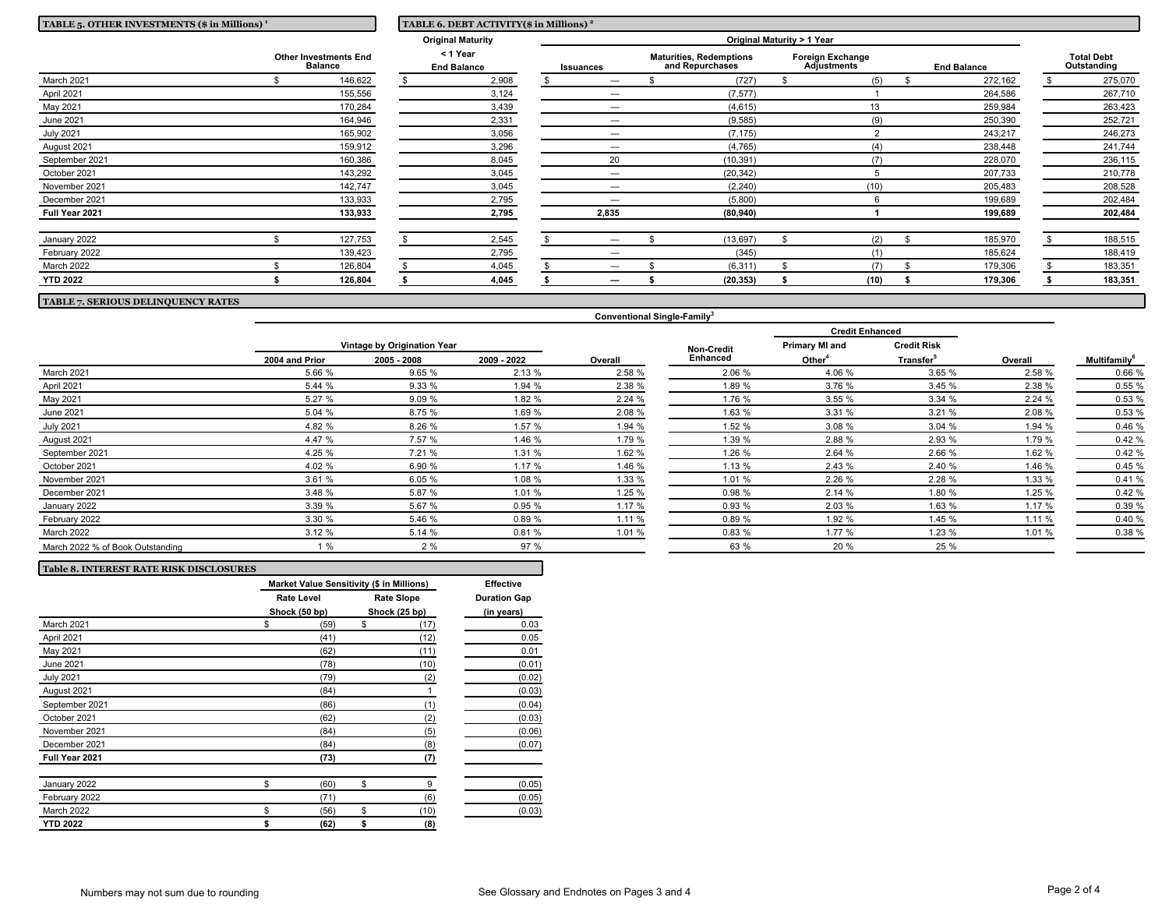| TABLE 5. OTHER INVESTMENTS (\$ in Millions) <sup>1</sup> | TABLE 6. DEBT ACTIVITY(\$ in Millions) <sup>2</sup> |                                                |  |                                |  |                            |  |                                                   |  |                                               |  |                    |  |                                  |
|----------------------------------------------------------|-----------------------------------------------------|------------------------------------------------|--|--------------------------------|--|----------------------------|--|---------------------------------------------------|--|-----------------------------------------------|--|--------------------|--|----------------------------------|
|                                                          |                                                     |                                                |  | <b>Original Maturity</b>       |  | Original Maturity > 1 Year |  |                                                   |  |                                               |  |                    |  |                                  |
|                                                          |                                                     | <b>Other Investments End</b><br><b>Balance</b> |  | < 1 Year<br><b>End Balance</b> |  | <b>Issuances</b>           |  | <b>Maturities, Redemptions</b><br>and Repurchases |  | <b>Foreign Exchange</b><br><b>Adjustments</b> |  | <b>End Balance</b> |  | <b>Total Debt</b><br>Outstanding |
| March 2021                                               |                                                     | 146,622                                        |  | 2,908                          |  |                            |  | (727)                                             |  | (5)                                           |  | 272,162            |  | 275,070                          |
| April 2021                                               |                                                     | 155,556                                        |  | 3,124                          |  | -                          |  | (7, 577)                                          |  |                                               |  | 264,586            |  | 267,710                          |
| May 2021                                                 |                                                     | 170,284                                        |  | 3,439                          |  | -                          |  | (4,615)                                           |  | 13                                            |  | 259,984            |  | 263,423                          |
| June 2021                                                |                                                     | 164,946                                        |  | 2,331                          |  | $\overline{\phantom{0}}$   |  | (9,585)                                           |  | (9)                                           |  | 250,390            |  | 252,721                          |
| <b>July 2021</b>                                         |                                                     | 165,902                                        |  | 3,056                          |  | -                          |  | (7, 175)                                          |  |                                               |  | 243,217            |  | 246,273                          |
| August 2021                                              |                                                     | 159,912                                        |  | 3,296                          |  |                            |  | (4,765)                                           |  | (4)                                           |  | 238,448            |  | 241,744                          |
| September 2021                                           |                                                     | 160,386                                        |  | 8,045                          |  | 20                         |  | (10, 391)                                         |  | (7)                                           |  | 228,070            |  | 236,115                          |
| October 2021                                             |                                                     | 143,292                                        |  | 3,045                          |  | $\overline{\phantom{0}}$   |  | (20, 342)                                         |  |                                               |  | 207,733            |  | 210,778                          |
| November 2021                                            |                                                     | 142,747                                        |  | 3,045                          |  | -                          |  | (2, 240)                                          |  | (10)                                          |  | 205,483            |  | 208,528                          |
| December 2021                                            |                                                     | 133,933                                        |  | 2,795                          |  |                            |  | (5,800)                                           |  |                                               |  | 199,689            |  | 202,484                          |
| Full Year 2021                                           |                                                     | 133,933                                        |  | 2,795                          |  | 2,835                      |  | (80, 940)                                         |  |                                               |  | 199,689            |  | 202,484                          |
| January 2022                                             |                                                     | 127,753                                        |  | 2,545                          |  |                            |  | (13, 697)                                         |  | (2)                                           |  | 185,970            |  | 188,515                          |
| February 2022                                            |                                                     | 139,423                                        |  | 2,795                          |  | $\overline{\phantom{m}}$   |  | (345)                                             |  | (1)                                           |  | 185,624            |  | 188,419                          |
| March 2022                                               |                                                     | 126,804                                        |  | 4,045                          |  |                            |  | (6, 311)                                          |  | (7)                                           |  | 179,306            |  | 183,351                          |
| <b>YTD 2022</b>                                          |                                                     | 126,804                                        |  | 4,045                          |  |                            |  | (20, 353)                                         |  | (10)                                          |  | 179,306            |  | 183,351                          |

# **TABLE 7. SERIOUS DELINQUENCY RATES**

|                                  |                |                             |             |         |                   | <b>Credit Enhanced</b> |                       |         |                                 |
|----------------------------------|----------------|-----------------------------|-------------|---------|-------------------|------------------------|-----------------------|---------|---------------------------------|
|                                  |                | Vintage by Origination Year |             |         | <b>Non-Credit</b> | Primary MI and         | <b>Credit Risk</b>    |         | <b>Multifamily</b> <sup>6</sup> |
|                                  | 2004 and Prior | 2005 - 2008                 | 2009 - 2022 | Overall | Enhanced          | Other <sup>4</sup>     | Transfer <sup>5</sup> | Overall |                                 |
| March 2021                       | 5.66 %         | 9.65 %                      | 2.13 %      | 2.58 %  | 2.06 %            | 4.06 %                 | 3.65 %                | 2.58 %  | 0.66 %                          |
| April 2021                       | 5.44 %         | 9.33 %                      | 1.94 %      | 2.38 %  | 1.89 %            | 3.76 %                 | 3.45%                 | 2.38 %  | 0.55%                           |
| May 2021                         | 5.27 %         | 9.09%                       | 1.82 %      | 2.24 %  | 1.76 %            | 3.55 %                 | 3.34%                 | 2.24 %  | 0.53 %                          |
| June 2021                        | 5.04 %         | 8.75 %                      | 1.69 %      | 2.08 %  | 1.63 %            | 3.31 %                 | 3.21%                 | 2.08 %  | 0.53 %                          |
| <b>July 2021</b>                 | 4.82 %         | 8.26 %                      | 1.57 %      | 1.94 %  | 1.52 %            | 3.08 %                 | 3.04%                 | 1.94 %  | 0.46 %                          |
| August 2021                      | 4.47 %         | 7.57 %                      | 1.46 %      | 1.79 %  | 1.39 %            | 2.88 %                 | 2.93 %                | 1.79 %  | 0.42%                           |
| September 2021                   | 4.25 %         | 7.21 %                      | 1.31 %      | 1.62 %  | 1.26 %            | 2.64 %                 | 2.66 %                | 1.62 %  | 0.42%                           |
| October 2021                     | 4.02 %         | 6.90 %                      | 1.17 %      | 1.46 %  | 1.13 %            | 2.43 %                 | 2.40 %                | 1.46 %  | 0.45 %                          |
| November 2021                    | 3.61 %         | 6.05 %                      | 1.08 %      | 1.33 %  | 1.01 %            | 2.26 %                 | 2.28 %                | 1.33 %  | 0.41 %                          |
| December 2021                    | 3.48 %         | 5.87 %                      | 1.01 %      | 1.25 %  | 0.98 %            | 2.14 %                 | 1.80 %                | 1.25 %  | 0.42 %                          |
| January 2022                     | 3.39 %         | 5.67 %                      | 0.95%       | 1.17 %  | 0.93%             | 2.03 %                 | 1.63 %                | 1.17 %  | 0.39 %                          |
| February 2022                    | 3.30 %         | 5.46 %                      | 0.89%       | 1.11 %  | 0.89%             | 1.92 %                 | 1.45 %                | 1.11%   | 0.40 %                          |
| March 2022                       | 3.12%          | 5.14 %                      | 0.81%       | 1.01 %  | 0.83%             | 1.77 %                 | 1.23 %                | 1.01 %  | 0.38 %                          |
| March 2022 % of Book Outstanding | 1%             | 2%                          | 97 %        |         | 63 %              | 20 %                   | 25 %                  |         |                                 |

**Conventional Single-Family<sup>3</sup>**

| <b>Table 8. INTEREST RATE RISK DISCLOSURES</b> |                                                  |    |                                    |                                   |  |  |  |  |
|------------------------------------------------|--------------------------------------------------|----|------------------------------------|-----------------------------------|--|--|--|--|
|                                                | <b>Market Value Sensitivity (\$ in Millions)</b> |    |                                    |                                   |  |  |  |  |
|                                                | <b>Rate Level</b><br>Shock (50 bp)               |    | <b>Rate Slope</b><br>Shock (25 bp) | <b>Duration Gap</b><br>(in years) |  |  |  |  |
| March 2021                                     | \$<br>(59)                                       | \$ | (17)                               | 0.03                              |  |  |  |  |
| April 2021                                     | (41)                                             |    | (12)                               | 0.05                              |  |  |  |  |
| May 2021                                       | (62)                                             |    | (11)                               | 0.01                              |  |  |  |  |
| June 2021                                      | (78)                                             |    | (10)                               | (0.01)                            |  |  |  |  |
| <b>July 2021</b>                               | (79)                                             |    | (2)                                | (0.02)                            |  |  |  |  |
| August 2021                                    | (84)                                             |    |                                    | (0.03)                            |  |  |  |  |
| September 2021                                 | (86)                                             |    | (1)                                | (0.04)                            |  |  |  |  |
| October 2021                                   | (62)                                             |    | (2)                                | (0.03)                            |  |  |  |  |
| November 2021                                  | (84)                                             |    | (5)                                | (0.06)                            |  |  |  |  |
| December 2021                                  | (84)                                             |    | (8)                                | (0.07)                            |  |  |  |  |
| Full Year 2021                                 | (73)                                             |    | (7)                                |                                   |  |  |  |  |
| January 2022                                   | \$<br>(60)                                       | \$ | 9                                  | (0.05)                            |  |  |  |  |
| February 2022                                  | (71)                                             |    | (6)                                | (0.05)                            |  |  |  |  |
| March 2022                                     | \$<br>(56)                                       | \$ | (10)                               | (0.03)                            |  |  |  |  |
| <b>YTD 2022</b>                                | \$<br>(62)                                       | \$ | (8)                                |                                   |  |  |  |  |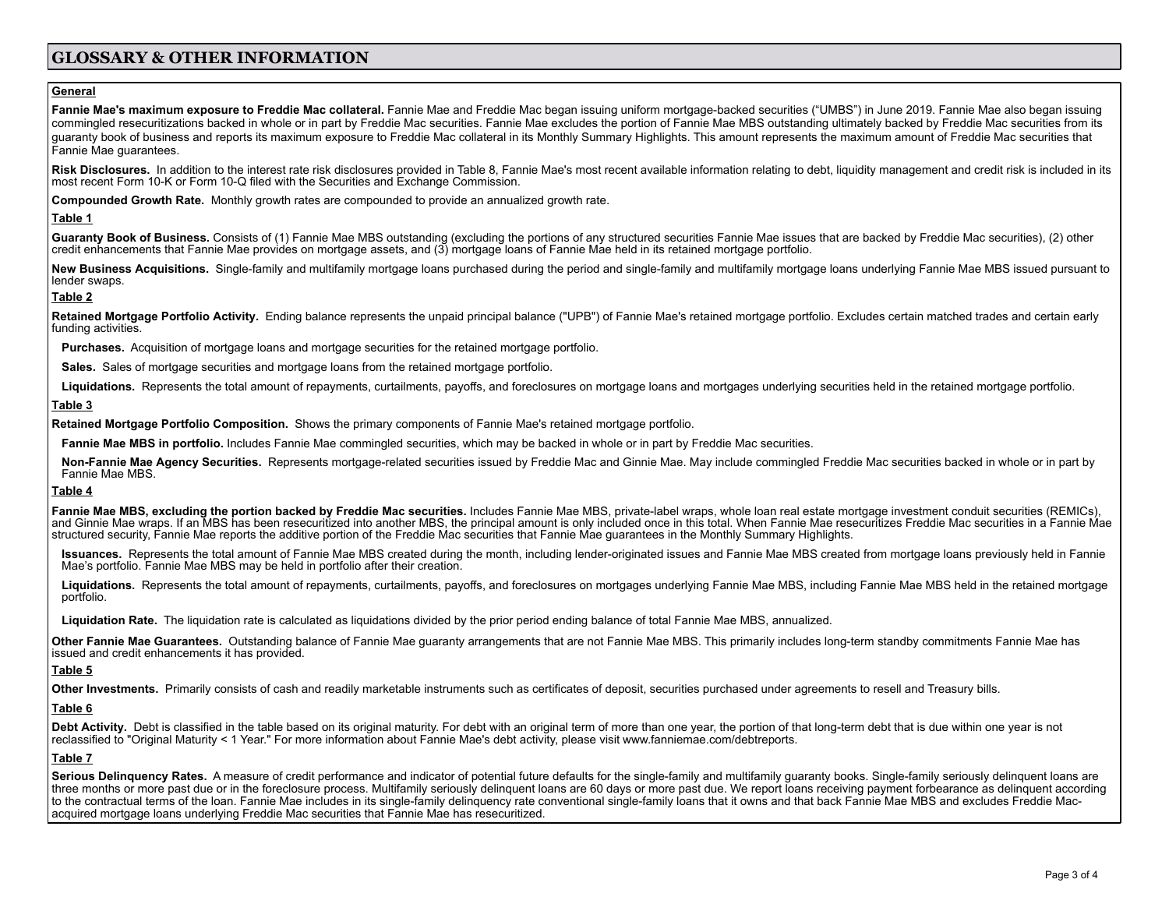# **GLOSSARY & OTHER INFORMATION**

### **General**

Fannie Mae's maximum exposure to Freddie Mac collateral. Fannie Mae and Freddie Mac began issuing uniform mortgage-backed securities ("UMBS") in June 2019. Fannie Mae also began issuing commingled resecuritizations backed in whole or in part by Freddie Mac securities. Fannie Mae excludes the portion of Fannie Mae MBS outstanding ultimately backed by Freddie Mac securities from its guaranty book of business and reports its maximum exposure to Freddie Mac collateral in its Monthly Summary Highlights. This amount represents the maximum amount of Freddie Mac securities that Fannie Mae guarantees.

Risk Disclosures. In addition to the interest rate risk disclosures provided in Table 8, Fannie Mae's most recent available information relating to debt, liquidity management and credit risk is included in its most recent Form 10-K or Form 10-Q filed with the Securities and Exchange Commission.

**Compounded Growth Rate.** Monthly growth rates are compounded to provide an annualized growth rate.

#### **Table 1**

Guaranty Book of Business. Consists of (1) Fannie Mae MBS outstanding (excluding the portions of any structured securities Fannie Mae issues that are backed by Freddie Mac securities). (2) other credit enhancements that Fannie Mae provides on mortgage assets, and (3) mortgage loans of Fannie Mae held in its retained mortgage portfolio.

New Business Acquisitions. Single-family and multifamily mortgage loans purchased during the period and single-family and multifamily mortgage loans underlying Fannie Mae MBS issued pursuant to lender swaps.

### **Table 2**

Retained Mortgage Portfolio Activity. Ending balance represents the unpaid principal balance ("UPB") of Fannie Mae's retained mortgage portfolio. Excludes certain matched trades and certain early funding activities.

**Purchases.** Acquisition of mortgage loans and mortgage securities for the retained mortgage portfolio.

**Sales.** Sales of mortgage securities and mortgage loans from the retained mortgage portfolio.

Liquidations. Represents the total amount of repayments, curtailments, payoffs, and foreclosures on mortgage loans and mortgages underlying securities held in the retained mortgage portfolio.

#### **Table 3**

**Retained Mortgage Portfolio Composition.** Shows the primary components of Fannie Mae's retained mortgage portfolio.

**Fannie Mae MBS in portfolio.** Includes Fannie Mae commingled securities, which may be backed in whole or in part by Freddie Mac securities.

Non-Fannie Mae Agency Securities. Represents mortgage-related securities issued by Freddie Mac and Ginnie Mae. May include commingled Freddie Mac securities backed in whole or in part by Fannie Mae MBS.

#### **Table 4**

Fannie Mae MBS, excluding the portion backed by Freddie Mac securities. Includes Fannie Mae MBS, private-label wraps, whole loan real estate mortgage investment conduit securities (REMICs),<br>and Ginnie Mae wraps. If an MBS structured security, Fannie Mae reports the additive portion of the Freddie Mac securities that Fannie Mae guarantees in the Monthly Summary Highlights.

Issuances. Represents the total amount of Fannie Mae MBS created during the month, including lender-originated issues and Fannie Mae MBS created from mortgage loans previously held in Fannie Mae's portfolio. Fannie Mae MBS may be held in portfolio after their creation.

Liquidations. Represents the total amount of repayments, curtailments, payoffs, and foreclosures on mortgages underlying Fannie Mae MBS, including Fannie Mae MBS held in the retained mortgage portfolio.

**Liquidation Rate.** The liquidation rate is calculated as liquidations divided by the prior period ending balance of total Fannie Mae MBS, annualized.

**Other Fannie Mae Guarantees.** Outstanding balance of Fannie Mae guaranty arrangements that are not Fannie Mae MBS. This primarily includes long-term standby commitments Fannie Mae has issued and credit enhancements it has provided.

#### **Table 5**

**Other Investments.** Primarily consists of cash and readily marketable instruments such as certificates of deposit, securities purchased under agreements to resell and Treasury bills.

## **Table 6**

Debt Activity. Debt is classified in the table based on its original maturity. For debt with an original term of more than one year, the portion of that long-term debt that is due within one year is not reclassified to "Original Maturity < 1 Year." For more information about Fannie Mae's debt activity, please visit [www.](http://www.fanniemae.com/debtreports)fanniemae.com/debtreports.

#### **Table 7**

Serious Delinguency Rates. A measure of credit performance and indicator of potential future defaults for the single-family and multifamily quaranty books. Single-family seriously delinquent loans are three months or more past due or in the foreclosure process. Multifamily seriously delinquent loans are 60 days or more past due. We report loans receiving payment forbearance as delinquent according to the contractual terms of the loan. Fannie Mae includes in its single-family delinguency rate conventional single-family loans that it owns and that back Fannie Mae MBS and excludes Freddie Macacquired mortgage loans underlying Freddie Mac securities that Fannie Mae has resecuritized.